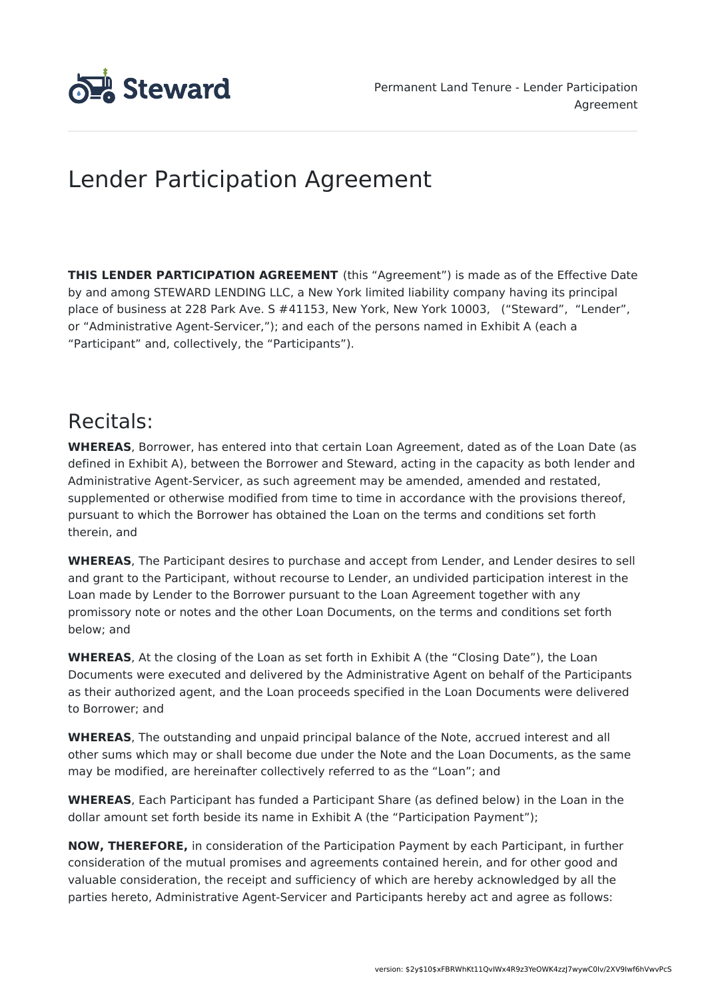

# Lender Participation Agreement

**THIS LENDER PARTICIPATION AGREEMENT** (this "Agreement") is made as of the Effective Date by and among STEWARD LENDING LLC, a New York limited liability company having its principal place of business at 228 Park Ave. S #41153, New York, New York 10003, ("Steward", "Lender", or "Administrative Agent-Servicer,"); and each of the persons named in Exhibit A (each a "Participant" and, collectively, the "Participants").

## Recitals:

**WHEREAS**, Borrower, has entered into that certain Loan Agreement, dated as of the Loan Date (as defined in Exhibit A), between the Borrower and Steward, acting in the capacity as both lender and Administrative Agent-Servicer, as such agreement may be amended, amended and restated, supplemented or otherwise modified from time to time in accordance with the provisions thereof, pursuant to which the Borrower has obtained the Loan on the terms and conditions set forth therein, and

**WHEREAS**, The Participant desires to purchase and accept from Lender, and Lender desires to sell and grant to the Participant, without recourse to Lender, an undivided participation interest in the Loan made by Lender to the Borrower pursuant to the Loan Agreement together with any promissory note or notes and the other Loan Documents, on the terms and conditions set forth below; and

**WHEREAS**, At the closing of the Loan as set forth in Exhibit A (the "Closing Date"), the Loan Documents were executed and delivered by the Administrative Agent on behalf of the Participants as their authorized agent, and the Loan proceeds specified in the Loan Documents were delivered to Borrower; and

**WHEREAS**, The outstanding and unpaid principal balance of the Note, accrued interest and all other sums which may or shall become due under the Note and the Loan Documents, as the same may be modified, are hereinafter collectively referred to as the "Loan"; and

**WHEREAS**, Each Participant has funded a Participant Share (as defined below) in the Loan in the dollar amount set forth beside its name in Exhibit A (the "Participation Payment");

**NOW, THEREFORE,** in consideration of the Participation Payment by each Participant, in further consideration of the mutual promises and agreements contained herein, and for other good and valuable consideration, the receipt and sufficiency of which are hereby acknowledged by all the parties hereto, Administrative Agent-Servicer and Participants hereby act and agree as follows: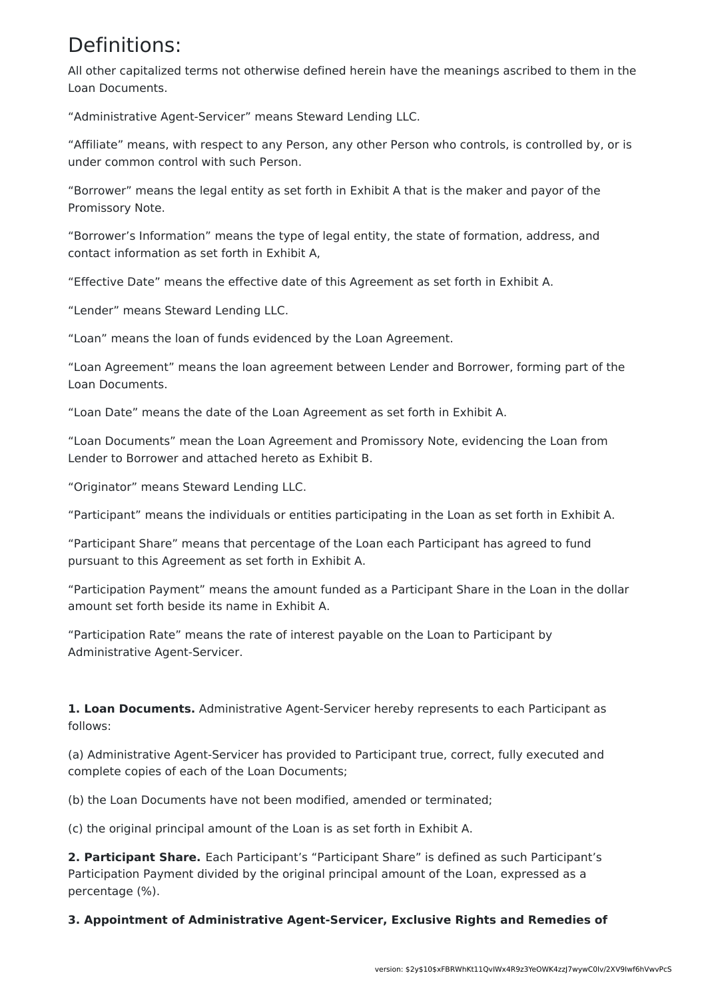## Definitions:

All other capitalized terms not otherwise defined herein have the meanings ascribed to them in the Loan Documents.

"Administrative Agent-Servicer" means Steward Lending LLC.

"Affiliate" means, with respect to any Person, any other Person who controls, is controlled by, or is under common control with such Person.

"Borrower" means the legal entity as set forth in Exhibit A that is the maker and payor of the Promissory Note.

"Borrower's Information" means the type of legal entity, the state of formation, address, and contact information as set forth in Exhibit A,

"Effective Date" means the effective date of this Agreement as set forth in Exhibit A.

"Lender" means Steward Lending LLC.

"Loan" means the loan of funds evidenced by the Loan Agreement.

"Loan Agreement" means the loan agreement between Lender and Borrower, forming part of the Loan Documents.

"Loan Date" means the date of the Loan Agreement as set forth in Exhibit A.

"Loan Documents" mean the Loan Agreement and Promissory Note, evidencing the Loan from Lender to Borrower and attached hereto as Exhibit B.

"Originator" means Steward Lending LLC.

"Participant" means the individuals or entities participating in the Loan as set forth in Exhibit A.

"Participant Share" means that percentage of the Loan each Participant has agreed to fund pursuant to this Agreement as set forth in Exhibit A.

"Participation Payment" means the amount funded as a Participant Share in the Loan in the dollar amount set forth beside its name in Exhibit A.

"Participation Rate" means the rate of interest payable on the Loan to Participant by Administrative Agent-Servicer.

**1. Loan Documents.** Administrative Agent-Servicer hereby represents to each Participant as follows:

(a) Administrative Agent-Servicer has provided to Participant true, correct, fully executed and complete copies of each of the Loan Documents;

(b) the Loan Documents have not been modified, amended or terminated;

(c) the original principal amount of the Loan is as set forth in Exhibit A.

**2. Participant Share.** Each Participant's "Participant Share" is defined as such Participant's Participation Payment divided by the original principal amount of the Loan, expressed as a percentage (%).

**3. Appointment of Administrative Agent-Servicer, Exclusive Rights and Remedies of**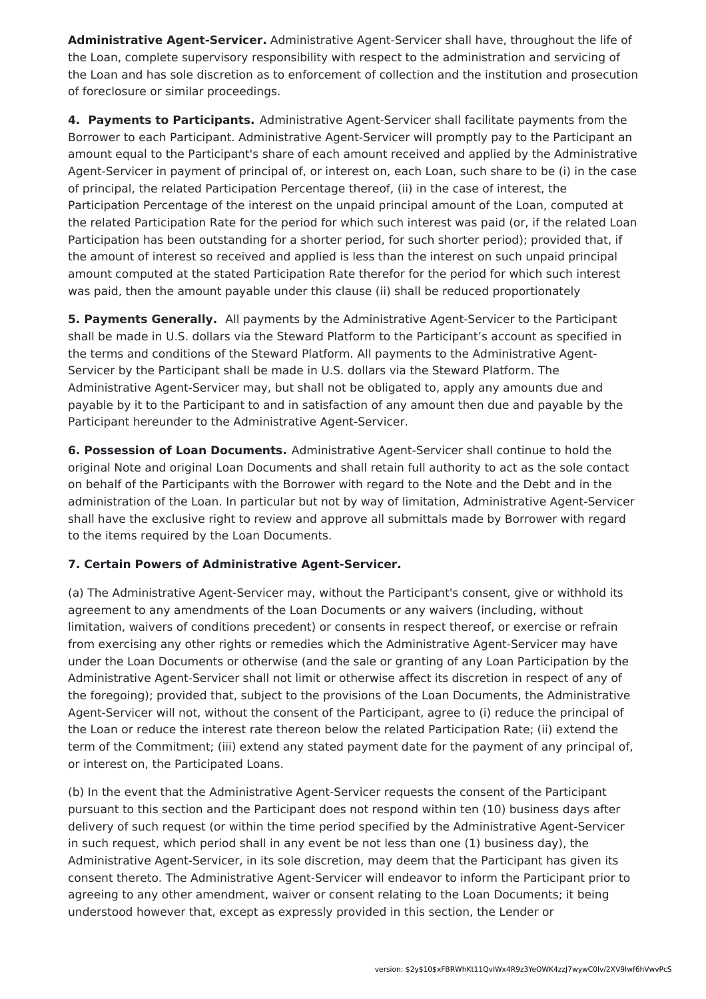**Administrative Agent-Servicer.** Administrative Agent-Servicer shall have, throughout the life of the Loan, complete supervisory responsibility with respect to the administration and servicing of the Loan and has sole discretion as to enforcement of collection and the institution and prosecution of foreclosure or similar proceedings.

**4. Payments to Participants.** Administrative Agent-Servicer shall facilitate payments from the Borrower to each Participant. Administrative Agent-Servicer will promptly pay to the Participant an amount equal to the Participant's share of each amount received and applied by the Administrative Agent-Servicer in payment of principal of, or interest on, each Loan, such share to be (i) in the case of principal, the related Participation Percentage thereof, (ii) in the case of interest, the Participation Percentage of the interest on the unpaid principal amount of the Loan, computed at the related Participation Rate for the period for which such interest was paid (or, if the related Loan Participation has been outstanding for a shorter period, for such shorter period); provided that, if the amount of interest so received and applied is less than the interest on such unpaid principal amount computed at the stated Participation Rate therefor for the period for which such interest was paid, then the amount payable under this clause (ii) shall be reduced proportionately

**5. Payments Generally.** All payments by the Administrative Agent-Servicer to the Participant shall be made in U.S. dollars via the Steward Platform to the Participant's account as specified in the terms and conditions of the Steward Platform. All payments to the Administrative Agent-Servicer by the Participant shall be made in U.S. dollars via the Steward Platform. The Administrative Agent-Servicer may, but shall not be obligated to, apply any amounts due and payable by it to the Participant to and in satisfaction of any amount then due and payable by the Participant hereunder to the Administrative Agent-Servicer.

**6. Possession of Loan Documents.** Administrative Agent-Servicer shall continue to hold the original Note and original Loan Documents and shall retain full authority to act as the sole contact on behalf of the Participants with the Borrower with regard to the Note and the Debt and in the administration of the Loan. In particular but not by way of limitation, Administrative Agent-Servicer shall have the exclusive right to review and approve all submittals made by Borrower with regard to the items required by the Loan Documents.

### **7. Certain Powers of Administrative Agent-Servicer.**

(a) The Administrative Agent-Servicer may, without the Participant's consent, give or withhold its agreement to any amendments of the Loan Documents or any waivers (including, without limitation, waivers of conditions precedent) or consents in respect thereof, or exercise or refrain from exercising any other rights or remedies which the Administrative Agent-Servicer may have under the Loan Documents or otherwise (and the sale or granting of any Loan Participation by the Administrative Agent-Servicer shall not limit or otherwise affect its discretion in respect of any of the foregoing); provided that, subject to the provisions of the Loan Documents, the Administrative Agent-Servicer will not, without the consent of the Participant, agree to (i) reduce the principal of the Loan or reduce the interest rate thereon below the related Participation Rate; (ii) extend the term of the Commitment; (iii) extend any stated payment date for the payment of any principal of, or interest on, the Participated Loans.

(b) In the event that the Administrative Agent-Servicer requests the consent of the Participant pursuant to this section and the Participant does not respond within ten (10) business days after delivery of such request (or within the time period specified by the Administrative Agent-Servicer in such request, which period shall in any event be not less than one (1) business day), the Administrative Agent-Servicer, in its sole discretion, may deem that the Participant has given its consent thereto. The Administrative Agent-Servicer will endeavor to inform the Participant prior to agreeing to any other amendment, waiver or consent relating to the Loan Documents; it being understood however that, except as expressly provided in this section, the Lender or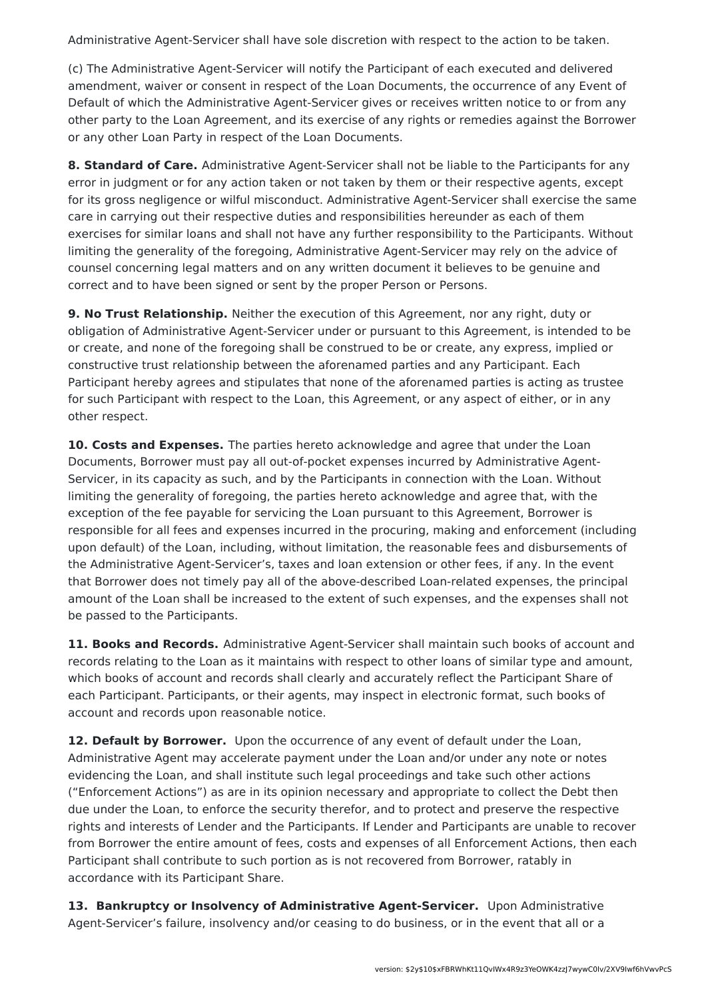Administrative Agent-Servicer shall have sole discretion with respect to the action to be taken.

(c) The Administrative Agent-Servicer will notify the Participant of each executed and delivered amendment, waiver or consent in respect of the Loan Documents, the occurrence of any Event of Default of which the Administrative Agent-Servicer gives or receives written notice to or from any other party to the Loan Agreement, and its exercise of any rights or remedies against the Borrower or any other Loan Party in respect of the Loan Documents.

**8. Standard of Care.** Administrative Agent-Servicer shall not be liable to the Participants for any error in judgment or for any action taken or not taken by them or their respective agents, except for its gross negligence or wilful misconduct. Administrative Agent-Servicer shall exercise the same care in carrying out their respective duties and responsibilities hereunder as each of them exercises for similar loans and shall not have any further responsibility to the Participants. Without limiting the generality of the foregoing, Administrative Agent-Servicer may rely on the advice of counsel concerning legal matters and on any written document it believes to be genuine and correct and to have been signed or sent by the proper Person or Persons.

**9. No Trust Relationship.** Neither the execution of this Agreement, nor any right, duty or obligation of Administrative Agent-Servicer under or pursuant to this Agreement, is intended to be or create, and none of the foregoing shall be construed to be or create, any express, implied or constructive trust relationship between the aforenamed parties and any Participant. Each Participant hereby agrees and stipulates that none of the aforenamed parties is acting as trustee for such Participant with respect to the Loan, this Agreement, or any aspect of either, or in any other respect.

**10. Costs and Expenses.** The parties hereto acknowledge and agree that under the Loan Documents, Borrower must pay all out-of-pocket expenses incurred by Administrative Agent-Servicer, in its capacity as such, and by the Participants in connection with the Loan. Without limiting the generality of foregoing, the parties hereto acknowledge and agree that, with the exception of the fee payable for servicing the Loan pursuant to this Agreement, Borrower is responsible for all fees and expenses incurred in the procuring, making and enforcement (including upon default) of the Loan, including, without limitation, the reasonable fees and disbursements of the Administrative Agent-Servicer's, taxes and loan extension or other fees, if any. In the event that Borrower does not timely pay all of the above-described Loan-related expenses, the principal amount of the Loan shall be increased to the extent of such expenses, and the expenses shall not be passed to the Participants.

**11. Books and Records.** Administrative Agent-Servicer shall maintain such books of account and records relating to the Loan as it maintains with respect to other loans of similar type and amount, which books of account and records shall clearly and accurately reflect the Participant Share of each Participant. Participants, or their agents, may inspect in electronic format, such books of account and records upon reasonable notice.

**12. Default by Borrower.** Upon the occurrence of any event of default under the Loan, Administrative Agent may accelerate payment under the Loan and/or under any note or notes evidencing the Loan, and shall institute such legal proceedings and take such other actions ("Enforcement Actions") as are in its opinion necessary and appropriate to collect the Debt then due under the Loan, to enforce the security therefor, and to protect and preserve the respective rights and interests of Lender and the Participants. If Lender and Participants are unable to recover from Borrower the entire amount of fees, costs and expenses of all Enforcement Actions, then each Participant shall contribute to such portion as is not recovered from Borrower, ratably in accordance with its Participant Share.

**13. Bankruptcy or Insolvency of Administrative Agent-Servicer.** Upon Administrative Agent-Servicer's failure, insolvency and/or ceasing to do business, or in the event that all or a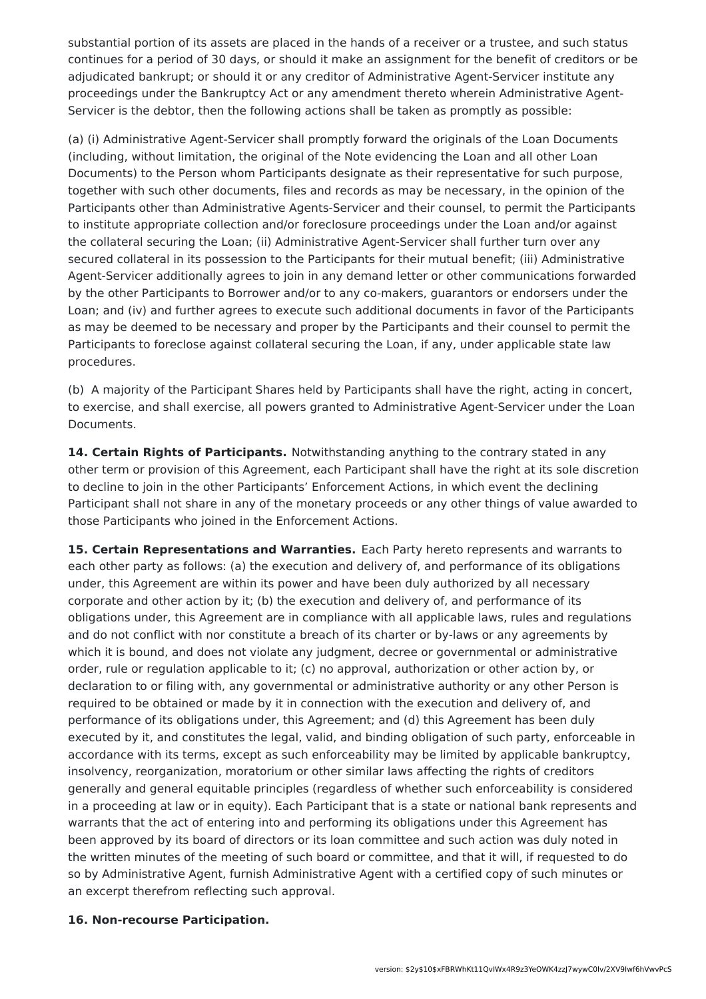substantial portion of its assets are placed in the hands of a receiver or a trustee, and such status continues for a period of 30 days, or should it make an assignment for the benefit of creditors or be adjudicated bankrupt; or should it or any creditor of Administrative Agent-Servicer institute any proceedings under the Bankruptcy Act or any amendment thereto wherein Administrative Agent-Servicer is the debtor, then the following actions shall be taken as promptly as possible:

(a) (i) Administrative Agent-Servicer shall promptly forward the originals of the Loan Documents (including, without limitation, the original of the Note evidencing the Loan and all other Loan Documents) to the Person whom Participants designate as their representative for such purpose, together with such other documents, files and records as may be necessary, in the opinion of the Participants other than Administrative Agents-Servicer and their counsel, to permit the Participants to institute appropriate collection and/or foreclosure proceedings under the Loan and/or against the collateral securing the Loan; (ii) Administrative Agent-Servicer shall further turn over any secured collateral in its possession to the Participants for their mutual benefit; (iii) Administrative Agent-Servicer additionally agrees to join in any demand letter or other communications forwarded by the other Participants to Borrower and/or to any co-makers, guarantors or endorsers under the Loan; and (iv) and further agrees to execute such additional documents in favor of the Participants as may be deemed to be necessary and proper by the Participants and their counsel to permit the Participants to foreclose against collateral securing the Loan, if any, under applicable state law procedures.

(b) A majority of the Participant Shares held by Participants shall have the right, acting in concert, to exercise, and shall exercise, all powers granted to Administrative Agent-Servicer under the Loan Documents.

**14. Certain Rights of Participants.** Notwithstanding anything to the contrary stated in any other term or provision of this Agreement, each Participant shall have the right at its sole discretion to decline to join in the other Participants' Enforcement Actions, in which event the declining Participant shall not share in any of the monetary proceeds or any other things of value awarded to those Participants who joined in the Enforcement Actions.

**15. Certain Representations and Warranties.** Each Party hereto represents and warrants to each other party as follows: (a) the execution and delivery of, and performance of its obligations under, this Agreement are within its power and have been duly authorized by all necessary corporate and other action by it; (b) the execution and delivery of, and performance of its obligations under, this Agreement are in compliance with all applicable laws, rules and regulations and do not conflict with nor constitute a breach of its charter or by-laws or any agreements by which it is bound, and does not violate any judgment, decree or governmental or administrative order, rule or regulation applicable to it; (c) no approval, authorization or other action by, or declaration to or filing with, any governmental or administrative authority or any other Person is required to be obtained or made by it in connection with the execution and delivery of, and performance of its obligations under, this Agreement; and (d) this Agreement has been duly executed by it, and constitutes the legal, valid, and binding obligation of such party, enforceable in accordance with its terms, except as such enforceability may be limited by applicable bankruptcy, insolvency, reorganization, moratorium or other similar laws affecting the rights of creditors generally and general equitable principles (regardless of whether such enforceability is considered in a proceeding at law or in equity). Each Participant that is a state or national bank represents and warrants that the act of entering into and performing its obligations under this Agreement has been approved by its board of directors or its loan committee and such action was duly noted in the written minutes of the meeting of such board or committee, and that it will, if requested to do so by Administrative Agent, furnish Administrative Agent with a certified copy of such minutes or an excerpt therefrom reflecting such approval.

#### **16. Non-recourse Participation.**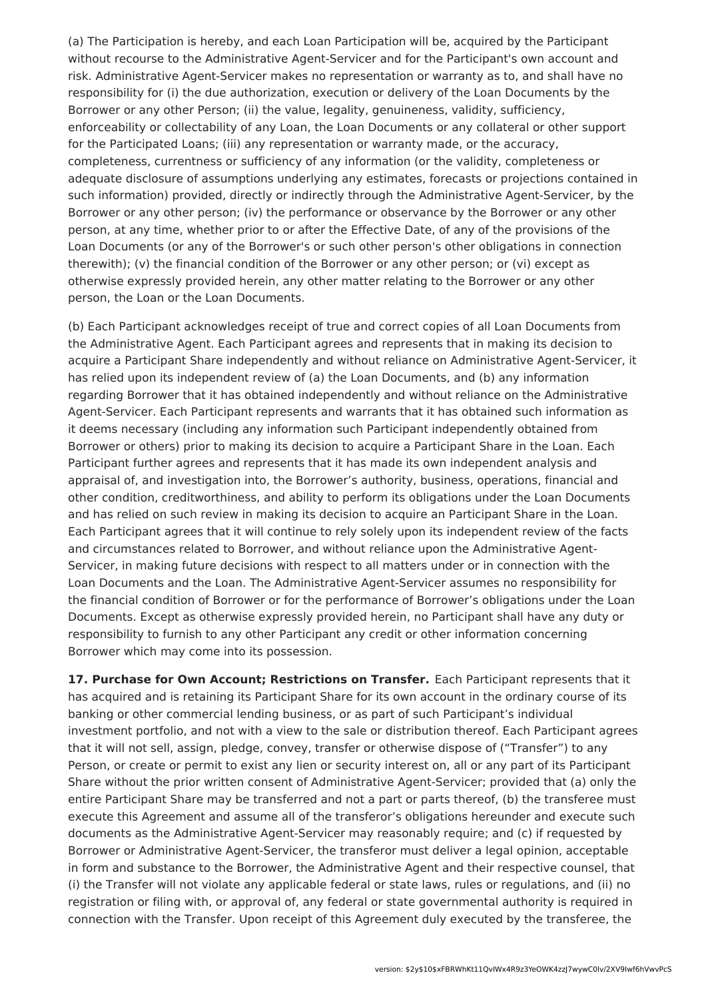(a) The Participation is hereby, and each Loan Participation will be, acquired by the Participant without recourse to the Administrative Agent-Servicer and for the Participant's own account and risk. Administrative Agent-Servicer makes no representation or warranty as to, and shall have no responsibility for (i) the due authorization, execution or delivery of the Loan Documents by the Borrower or any other Person; (ii) the value, legality, genuineness, validity, sufficiency, enforceability or collectability of any Loan, the Loan Documents or any collateral or other support for the Participated Loans; (iii) any representation or warranty made, or the accuracy, completeness, currentness or sufficiency of any information (or the validity, completeness or adequate disclosure of assumptions underlying any estimates, forecasts or projections contained in such information) provided, directly or indirectly through the Administrative Agent-Servicer, by the Borrower or any other person; (iv) the performance or observance by the Borrower or any other person, at any time, whether prior to or after the Effective Date, of any of the provisions of the Loan Documents (or any of the Borrower's or such other person's other obligations in connection therewith); (v) the financial condition of the Borrower or any other person; or (vi) except as otherwise expressly provided herein, any other matter relating to the Borrower or any other person, the Loan or the Loan Documents.

(b) Each Participant acknowledges receipt of true and correct copies of all Loan Documents from the Administrative Agent. Each Participant agrees and represents that in making its decision to acquire a Participant Share independently and without reliance on Administrative Agent-Servicer, it has relied upon its independent review of (a) the Loan Documents, and (b) any information regarding Borrower that it has obtained independently and without reliance on the Administrative Agent-Servicer. Each Participant represents and warrants that it has obtained such information as it deems necessary (including any information such Participant independently obtained from Borrower or others) prior to making its decision to acquire a Participant Share in the Loan. Each Participant further agrees and represents that it has made its own independent analysis and appraisal of, and investigation into, the Borrower's authority, business, operations, financial and other condition, creditworthiness, and ability to perform its obligations under the Loan Documents and has relied on such review in making its decision to acquire an Participant Share in the Loan. Each Participant agrees that it will continue to rely solely upon its independent review of the facts and circumstances related to Borrower, and without reliance upon the Administrative Agent-Servicer, in making future decisions with respect to all matters under or in connection with the Loan Documents and the Loan. The Administrative Agent-Servicer assumes no responsibility for the financial condition of Borrower or for the performance of Borrower's obligations under the Loan Documents. Except as otherwise expressly provided herein, no Participant shall have any duty or responsibility to furnish to any other Participant any credit or other information concerning Borrower which may come into its possession.

**17. Purchase for Own Account; Restrictions on Transfer.** Each Participant represents that it has acquired and is retaining its Participant Share for its own account in the ordinary course of its banking or other commercial lending business, or as part of such Participant's individual investment portfolio, and not with a view to the sale or distribution thereof. Each Participant agrees that it will not sell, assign, pledge, convey, transfer or otherwise dispose of ("Transfer") to any Person, or create or permit to exist any lien or security interest on, all or any part of its Participant Share without the prior written consent of Administrative Agent-Servicer; provided that (a) only the entire Participant Share may be transferred and not a part or parts thereof, (b) the transferee must execute this Agreement and assume all of the transferor's obligations hereunder and execute such documents as the Administrative Agent-Servicer may reasonably require; and (c) if requested by Borrower or Administrative Agent-Servicer, the transferor must deliver a legal opinion, acceptable in form and substance to the Borrower, the Administrative Agent and their respective counsel, that (i) the Transfer will not violate any applicable federal or state laws, rules or regulations, and (ii) no registration or filing with, or approval of, any federal or state governmental authority is required in connection with the Transfer. Upon receipt of this Agreement duly executed by the transferee, the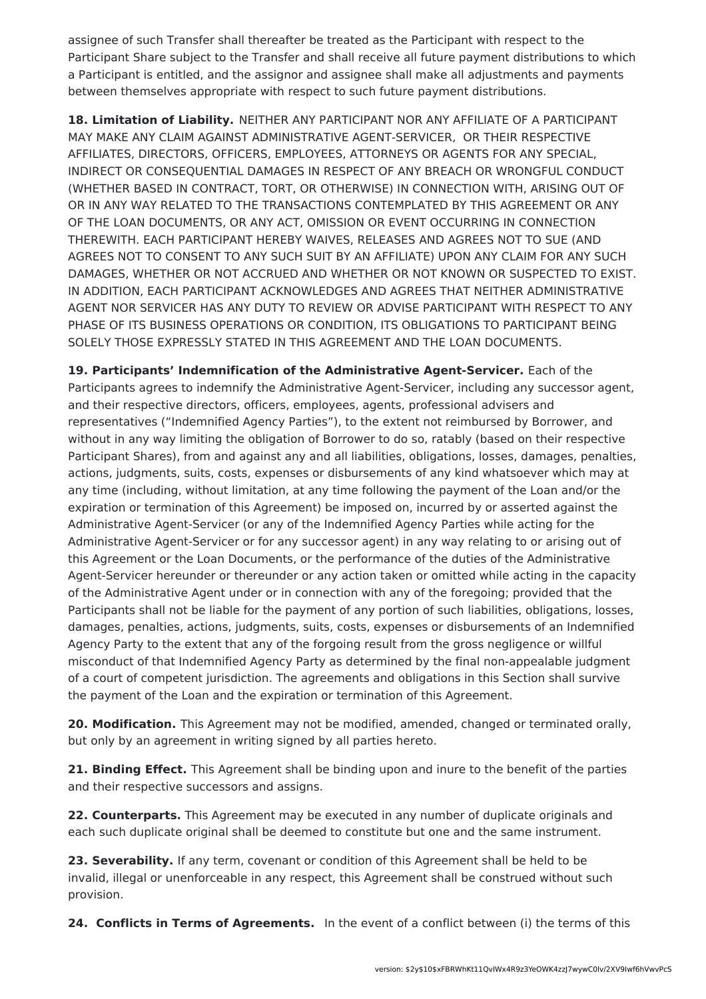assignee of such Transfer shall thereafter be treated as the Participant with respect to the Participant Share subject to the Transfer and shall receive all future payment distributions to which a Participant is entitled, and the assignor and assignee shall make all adjustments and payments between themselves appropriate with respect to such future payment distributions.

**18. Limitation of Liability.** NEITHER ANY PARTICIPANT NOR ANY AFFILIATE OF A PARTICIPANT MAY MAKE ANY CLAIM AGAINST ADMINISTRATIVE AGENT-SERVICER, OR THEIR RESPECTIVE AFFILIATES, DIRECTORS, OFFICERS, EMPLOYEES, ATTORNEYS OR AGENTS FOR ANY SPECIAL, INDIRECT OR CONSEQUENTIAL DAMAGES IN RESPECT OF ANY BREACH OR WRONGFUL CONDUCT (WHETHER BASED IN CONTRACT, TORT, OR OTHERWISE) IN CONNECTION WITH, ARISING OUT OF OR IN ANY WAY RELATED TO THE TRANSACTIONS CONTEMPLATED BY THIS AGREEMENT OR ANY OF THE LOAN DOCUMENTS, OR ANY ACT, OMISSION OR EVENT OCCURRING IN CONNECTION THEREWITH. EACH PARTICIPANT HEREBY WAIVES, RELEASES AND AGREES NOT TO SUE (AND AGREES NOT TO CONSENT TO ANY SUCH SUIT BY AN AFFILIATE) UPON ANY CLAIM FOR ANY SUCH DAMAGES, WHETHER OR NOT ACCRUED AND WHETHER OR NOT KNOWN OR SUSPECTED TO EXIST. IN ADDITION, EACH PARTICIPANT ACKNOWLEDGES AND AGREES THAT NEITHER ADMINISTRATIVE AGENT NOR SERVICER HAS ANY DUTY TO REVIEW OR ADVISE PARTICIPANT WITH RESPECT TO ANY PHASE OF ITS BUSINESS OPERATIONS OR CONDITION, ITS OBLIGATIONS TO PARTICIPANT BEING SOLELY THOSE EXPRESSLY STATED IN THIS AGREEMENT AND THE LOAN DOCUMENTS.

**19. Participants' Indemnification of the Administrative Agent-Servicer.** Each of the Participants agrees to indemnify the Administrative Agent-Servicer, including any successor agent, and their respective directors, officers, employees, agents, professional advisers and representatives ("Indemnified Agency Parties"), to the extent not reimbursed by Borrower, and without in any way limiting the obligation of Borrower to do so, ratably (based on their respective Participant Shares), from and against any and all liabilities, obligations, losses, damages, penalties, actions, judgments, suits, costs, expenses or disbursements of any kind whatsoever which may at any time (including, without limitation, at any time following the payment of the Loan and/or the expiration or termination of this Agreement) be imposed on, incurred by or asserted against the Administrative Agent-Servicer (or any of the Indemnified Agency Parties while acting for the Administrative Agent-Servicer or for any successor agent) in any way relating to or arising out of this Agreement or the Loan Documents, or the performance of the duties of the Administrative Agent-Servicer hereunder or thereunder or any action taken or omitted while acting in the capacity of the Administrative Agent under or in connection with any of the foregoing; provided that the Participants shall not be liable for the payment of any portion of such liabilities, obligations, losses, damages, penalties, actions, judgments, suits, costs, expenses or disbursements of an Indemnified Agency Party to the extent that any of the forgoing result from the gross negligence or willful misconduct of that Indemnified Agency Party as determined by the final non-appealable judgment of a court of competent jurisdiction. The agreements and obligations in this Section shall survive the payment of the Loan and the expiration or termination of this Agreement.

**20. Modification.** This Agreement may not be modified, amended, changed or terminated orally, but only by an agreement in writing signed by all parties hereto.

**21. Binding Effect.** This Agreement shall be binding upon and inure to the benefit of the parties and their respective successors and assigns.

**22. Counterparts.** This Agreement may be executed in any number of duplicate originals and each such duplicate original shall be deemed to constitute but one and the same instrument.

**23. Severability.** If any term, covenant or condition of this Agreement shall be held to be invalid, illegal or unenforceable in any respect, this Agreement shall be construed without such provision.

**24. Conflicts in Terms of Agreements.** In the event of a conflict between (i) the terms of this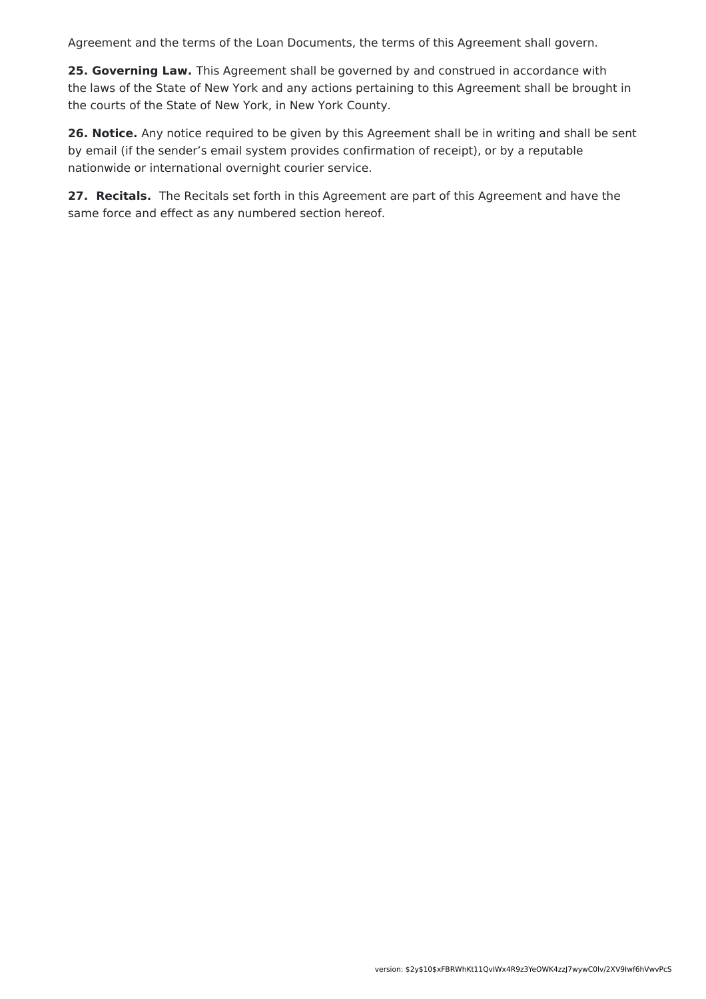Agreement and the terms of the Loan Documents, the terms of this Agreement shall govern.

**25. Governing Law.** This Agreement shall be governed by and construed in accordance with the laws of the State of New York and any actions pertaining to this Agreement shall be brought in the courts of the State of New York, in New York County.

**26. Notice.** Any notice required to be given by this Agreement shall be in writing and shall be sent by email (if the sender's email system provides confirmation of receipt), or by a reputable nationwide or international overnight courier service.

**27. Recitals.** The Recitals set forth in this Agreement are part of this Agreement and have the same force and effect as any numbered section hereof.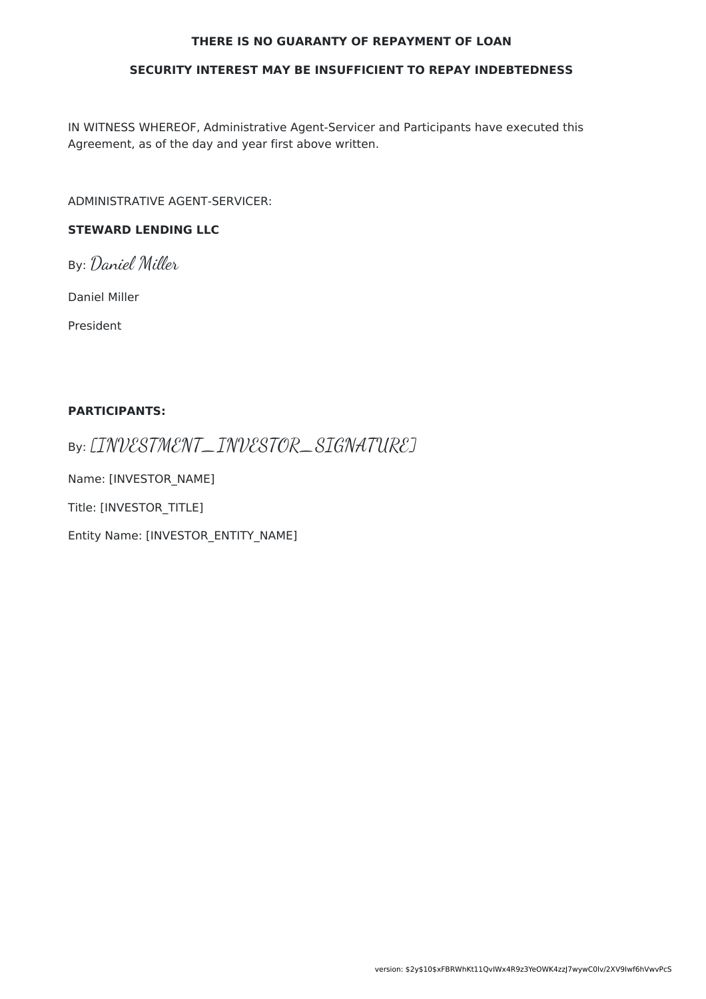#### **THERE IS NO GUARANTY OF REPAYMENT OF LOAN**

#### **SECURITY INTEREST MAY BE INSUFFICIENT TO REPAY INDEBTEDNESS**

IN WITNESS WHEREOF, Administrative Agent-Servicer and Participants have executed this Agreement, as of the day and year first above written.

ADMINISTRATIVE AGENT-SERVICER:

### **STEWARD LENDING LLC**

By: Daniel Miller

Daniel Miller

President

#### **PARTICIPANTS:**

By: [INVESTMENT\_INVESTOR\_SIGNATURE]

Name: [INVESTOR\_NAME]

Title: [INVESTOR\_TITLE]

Entity Name: [INVESTOR\_ENTITY\_NAME]